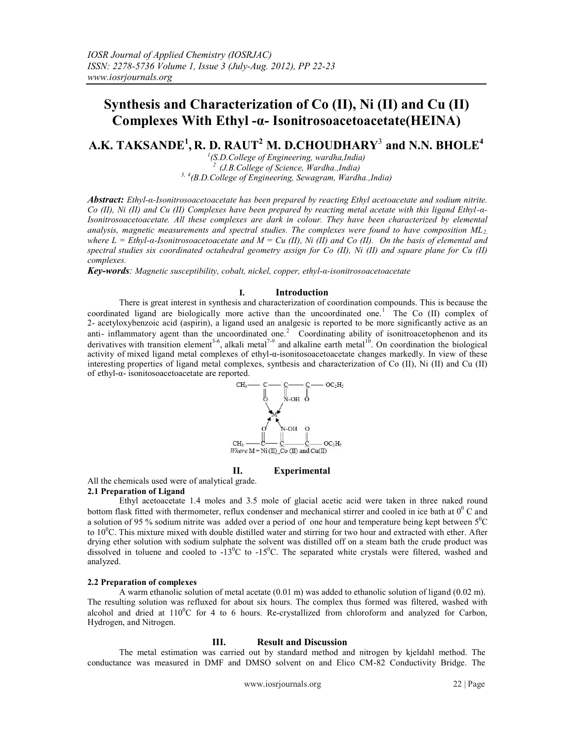# Syn the samisd Karac treization of C o(II), N i(II and C u(II) Complete  $\frac{1}{2}$  Complete  $\frac{1}{2}$  is on it to so ac e to be tead the IN A)

# A K.TAK  $\Re$  N  $\mathbb{E}^1$ , R .D. RA UT<sup>2</sup> M. D.CH CU DHA R  $\hat{Y}$  an dN.N. B H O  $\hat{L}$  E

 $1$ (SD.Collge of Enigneering ward haan ida) (J.B Collee of Scinece, Ward h.a. nida)  $3,4$ (B. DCollee of Enigreering, Se wgram, Ward la., India)

Ab tract: E hyl-±ls on toso areto aretateh as been prep are doy reactrig E hy laceto aretatea rod so dum nitite. Co (II), Ni (II) and Cu (II) C omplees h a ebeen prep are dby reading meet acetat ewith this gig and E by  $H_{\pm}$ Iso in toso aceto acetate A I lthe secomple as are datk in colour. The yh a rebeen charactezeid by e Inerental an layiss mangention asure mentosand spectral studies The comple os we refound to have composition ML whe r  $\pm$  = E hyl- $\pm$ -Iso intoso aceto acetatea rd M = Cu (II) Ni (II) a rd Co (II). O nthe b as is of elemental a rd spectral studie ssix co ordin at e obc ta leadral geom e transison for Co (I). Ni (I) a rod squirae plane for Cu (I) compless.

Key-wo ds: Mag ne tissuscept biltiy, oc bla, nicel, op pe re hyl-±-iso nitoso aceto acetate

 $\mathbf{L}$ 

## Introduction

There i sgreat int crest in sy rithe s iand charact ori z adniof oo rid a to in omp onds. Thi si sbecau se the co o rinda te digand are biologic aw mo e active than the unco o rinda te dne.<sup>1</sup> The Co (I) complex of 2- acetylo xybenzoi caci d(a pi rni) a ligand u se dan ana desi cis rep otre do be mo e sig milicantly etive a san anti-inflam matory agent tha nthe unco o rinda te othe<sup>2</sup> Co o rinda it ing ability of isonit crace to me and its derivatives with t an istion e ement<sup>26</sup>, a ka I me tla<sup>9</sup> and a ka line ea th me tla<sup>0</sup>. On co o rimat to the biologic a I act i ity of mixe di igand me t acbmplexes of e ltyl-±-isoni bsoace bace t a blaange smarkedly. In view of the se int ee sing proeptie of ligand met a comple es, sy nhesi sand charactrez adni of Co (II, N i (I) and Cu (I) of ethyl-±- isoni bsoace bace t a are rep otred.

#### Exp eirmenta l H.

Al Ithe chemic a luse dwere of analytial grade.

### 2. 1P reparation of Lig and

E hyl ace bace ta tle4mole sand 3.5 mole of gla ali ace ti acid were taken in thre enake dro nud b ot bm fl ask fit tevolth thermomet of, reflux conden s rand mechanic ast ine rand co obe of nic obat at  $10^{\circ}$  C and a solut ion of 95 % so dlum ni ti t ewa sad de dove r paeriod of one hour and temperature be ing kept between  $5^{\circ}$ C t o10°C. Thi smixture mixe dwith d oubl edist II e dvat e and st ining for two hour and extract e dvith e her. Aft e r d ving ethe rsolut on wit hso dum sulphat ethe solvent wa sdist ille do f on a st ann bath the crude p r oud twas dis olve din dluene and co ole do -1  $3C$  tel  $3C$ . The separa te white ryc stal were filted, ewashe dand analyze d

## 2. 2P reparation of comp exes

A warm e thanol i csolut ion of me t as te te a  $(601 \text{ m})$  was ad  $\phi$  d oe thanol i csolut ion of ligand (002 m). The re all tingoplution wa srefluxe dfor ab out six hours. The complex htus forme dwa sfile robe washe dwith a lochol and dire dat110<sup>o</sup>C for 4 to 6 hours. Re-cry stalize follom chlo rifoorm and analyzed for Carbon, Hydr gen, and N ogen.

#### $111$ Result a Dioscussion

The me t ad simation wa scar i e dout by standard meth od and nit onge nby kie dahl metho d The conductrace was measure din D M Fand D MSO solvent on and Elic 6M-82 Conductvity B rdge. The